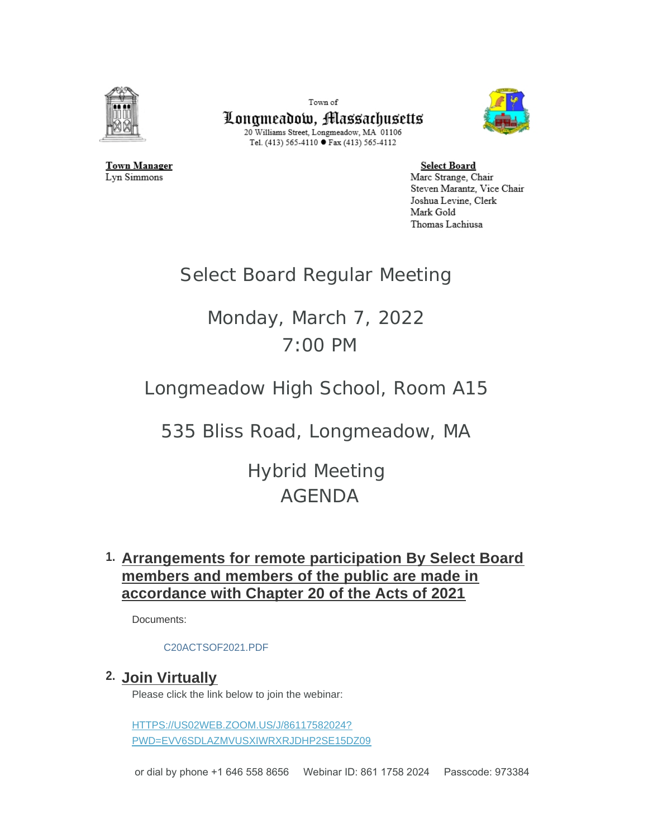

Town of Longmeadow, Massachusetts 20 Williams Street, Longmeadow, MA 01106 Tel. (413) 565-4110 ● Fax (413) 565-4112



**Town Manager** Lyn Simmons

**Select Board** Marc Strange, Chair Steven Marantz, Vice Chair Joshua Levine, Clerk Mark Gold Thomas Lachiusa

# Select Board Regular Meeting

# Monday, March 7, 2022 7:00 PM

Longmeadow High School, Room A15

535 Bliss Road, Longmeadow, MA

Hybrid Meeting AGENDA

# **Arrangements for remote participation By Select Board 1. members and members of the public are made in accordance with Chapter 20 of the Acts of 2021**

Documents:

#### [C20ACTSOF2021.PDF](https://www.longmeadow.org/AgendaCenter/ViewFile/Item/2143?fileID=21702)

# **Join Virtually 2.**

Please click the link below to join the webinar:

HTTPS://US02WEB.ZOOM.US/J/86117582024? [PWD=EVV6SDLAZMVUSXIWRXRJDHP2SE15DZ09](https://us02web.zoom.us/j/86117582024?pwd=eVV6SDlaZmVuSXIwRXRJdHp2SE15dz09)

or dial by phone +1 646 558 8656 Webinar ID: 861 1758 2024 Passcode: 973384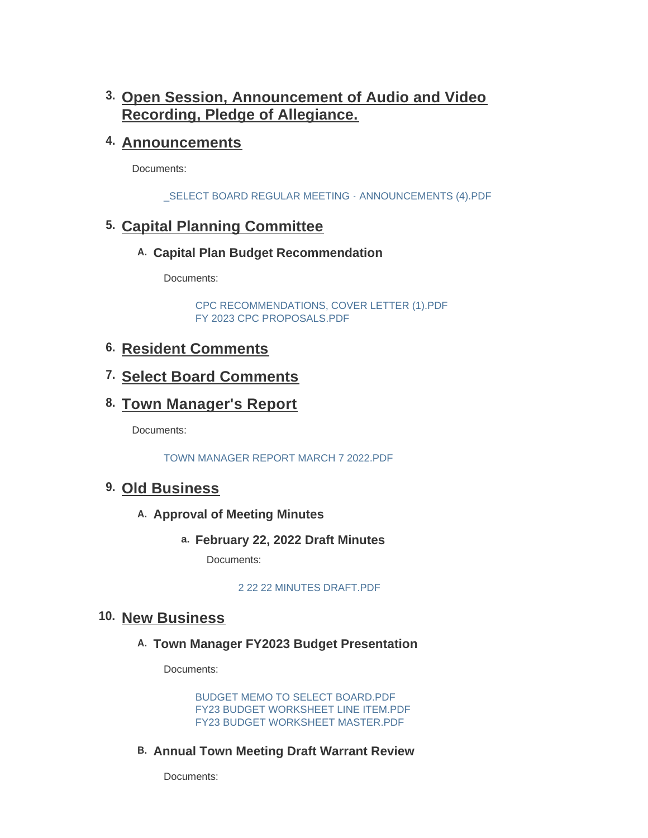# **Open Session, Announcement of Audio and Video 3. Recording, Pledge of Allegiance.**

## **Announcements 4.**

Documents:

[\\_SELECT BOARD REGULAR MEETING - ANNOUNCEMENTS \(4\).PDF](https://www.longmeadow.org/AgendaCenter/ViewFile/Item/2082?fileID=21747)

# **Capital Planning Committee 5.**

#### **Capital Plan Budget Recommendation A.**

Documents:

[CPC RECOMMENDATIONS, COVER LETTER \(1\).PDF](https://www.longmeadow.org/AgendaCenter/ViewFile/Item/2166?fileID=21821) [FY 2023 CPC PROPOSALS.PDF](https://www.longmeadow.org/AgendaCenter/ViewFile/Item/2166?fileID=21822)

# **Resident Comments 6.**

## **Select Board Comments 7.**

## **Town Manager's Report 8.**

Documents:

[TOWN MANAGER REPORT MARCH 7 2022.PDF](https://www.longmeadow.org/AgendaCenter/ViewFile/Item/2121?fileID=21743)

## **Old Business 9.**

#### A. Approval of Meeting Minutes

**February 22, 2022 Draft Minutes a.**

Documents:

[2 22 22 MINUTES DRAFT.PDF](https://www.longmeadow.org/AgendaCenter/ViewFile/Item/2176?fileID=21820)

## 10. New Business

**Town Manager FY2023 Budget Presentation A.**

Documents:

[BUDGET MEMO TO SELECT BOARD.PDF](https://www.longmeadow.org/AgendaCenter/ViewFile/Item/2165?fileID=21825) [FY23 BUDGET WORKSHEET LINE ITEM.PDF](https://www.longmeadow.org/AgendaCenter/ViewFile/Item/2165?fileID=21826) [FY23 BUDGET WORKSHEET MASTER.PDF](https://www.longmeadow.org/AgendaCenter/ViewFile/Item/2165?fileID=21827)

**Annual Town Meeting Draft Warrant Review B.**

Documents: